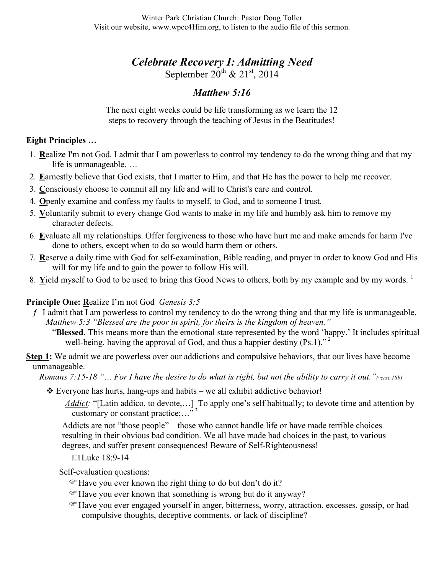# *Celebrate Recovery I: Admitting Need*

September  $20^{\text{th}}$  &  $21^{\text{st}}$ ,  $2014$ 

## *Matthew 5:16*

The next eight weeks could be life transforming as we learn the 12 steps to recovery through the teaching of Jesus in the Beatitudes!

### **Eight Principles …**

- 1. **R**ealize I'm not God. I admit that I am powerless to control my tendency to do the wrong thing and that my life is unmanageable. …
- 2. **E**arnestly believe that God exists, that I matter to Him, and that He has the power to help me recover.
- 3. **C**onsciously choose to commit all my life and will to Christ's care and control.
- 4. **O**penly examine and confess my faults to myself, to God, and to someone I trust.
- 5. **V**oluntarily submit to every change God wants to make in my life and humbly ask him to remove my character defects.
- 6. **E**valuate all my relationships. Offer forgiveness to those who have hurt me and make amends for harm I've done to others, except when to do so would harm them or others.
- 7. **R**eserve a daily time with God for self-examination, Bible reading, and prayer in order to know God and His will for my life and to gain the power to follow His will.
- 8. Yield myself to God to be used to bring this Good News to others, both by my example and by my words.<sup>1</sup>

## **Principle One: R**ealize I'm not God *Genesis 3:5*

- $f$  I admit that I am powerless to control my tendency to do the wrong thing and that my life is unmanageable. *Matthew 5:3 "Blessed are the poor in spirit, for theirs is the kingdom of heaven."*
	- "**Blessed**. This means more than the emotional state represented by the word 'happy.' It includes spiritual well-being, having the approval of God, and thus a happier destiny  $(Ps.1)$ ."<sup>2</sup>

#### **Step 1:** We admit we are powerless over our addictions and compulsive behaviors, that our lives have become unmanageable.

*Romans 7:15-18 "… For I have the desire to do what is right, but not the ability to carry it out."(verse 18b)*

- $\triangle$  Everyone has hurts, hang-ups and habits we all exhibit addictive behavior!
	- *Addict:* "[Latin addico, to devote,...] To apply one's self habitually; to devote time and attention by customary or constant practice;..." $3^3$

Addicts are not "those people" – those who cannot handle life or have made terrible choices resulting in their obvious bad condition. We all have made bad choices in the past, to various degrees, and suffer present consequences! Beware of Self-Righteousness!

Luke 18:9-14

Self-evaluation questions:

- Have you ever known the right thing to do but don't do it?
- Have you ever known that something is wrong but do it anyway?
- Have you ever engaged yourself in anger, bitterness, worry, attraction, excesses, gossip, or had compulsive thoughts, deceptive comments, or lack of discipline?